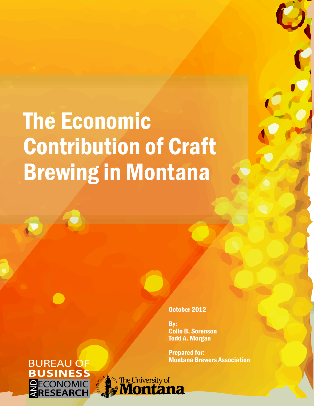# The Economic Contribution of Craft Brewing in Montana

#### October 2012

By: Colin B. Sorenson Todd A. Morgan

**Prepared for:<br>Montana Brewers Association** 

### **BUREAU OF BUSINESS ANDECONOMIC<br>RESEARCH**

 $\qquad \qquad \blacksquare$ 

*<b>Montana*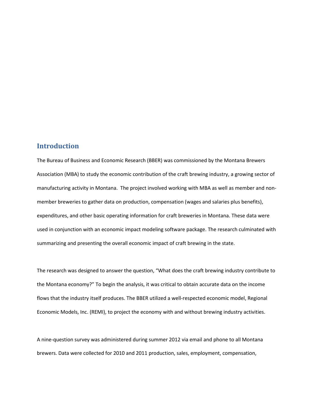### **Introduction**

The Bureau of Business and Economic Research (BBER) was commissioned by the Montana Brewers Association (MBA) to study the economic contribution of the craft brewing industry, a growing sector of manufacturing activity in Montana. The project involved working with MBA as well as member and nonmember breweries to gather data on production, compensation (wages and salaries plus benefits), expenditures, and other basic operating information for craft breweries in Montana. These data were used in conjunction with an economic impact modeling software package. The research culminated with summarizing and presenting the overall economic impact of craft brewing in the state.

The research was designed to answer the question, "What does the craft brewing industry contribute to the Montana economy?" To begin the analysis, it was critical to obtain accurate data on the income flows that the industry itself produces. The BBER utilized a well-respected economic model, Regional Economic Models, Inc. (REMI), to project the economy with and without brewing industry activities.

A nine-question survey was administered during summer 2012 via email and phone to all Montana brewers. Data were collected for 2010 and 2011 production, sales, employment, compensation,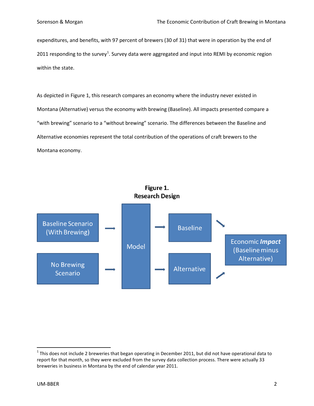expenditures, and benefits, with 97 percent of brewers (30 of 31) that were in operation by the end of 20[1](#page-2-0)1 responding to the survey<sup>1</sup>. Survey data were aggregated and input into REMI by economic region within the state.

As depicted in Figure 1, this research compares an economy where the industry never existed in Montana (Alternative) versus the economy with brewing (Baseline). All impacts presented compare a "with brewing" scenario to a "without brewing" scenario. The differences between the Baseline and Alternative economies represent the total contribution of the operations of craft brewers to the Montana economy.



<span id="page-2-0"></span> $1$ This does not include 2 breweries that began operating in December 2011, but did not have operational data to report for that month, so they were excluded from the survey data collection process. There were actually 33 breweries in business in Montana by the end of calendar year 2011.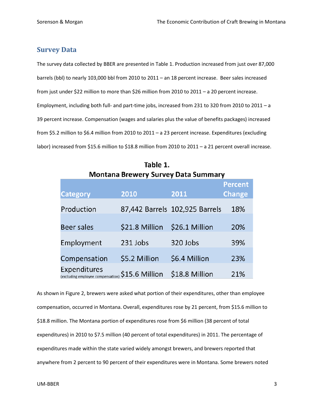### **Survey Data**

The survey data collected by BBER are presented in Table 1. Production increased from just over 87,000 barrels (bbl) to nearly 103,000 bbl from 2010 to 2011 – an 18 percent increase. Beer sales increased from just under \$22 million to more than \$26 million from 2010 to 2011 – a 20 percent increase. Employment, including both full- and part-time jobs, increased from 231 to 320 from 2010 to 2011 – a 39 percent increase. Compensation (wages and salaries plus the value of benefits packages) increased from \$5.2 million to \$6.4 million from 2010 to 2011 – a 23 percent increase. Expenditures (excluding labor) increased from \$15.6 million to \$18.8 million from 2010 to 2011 - a 21 percent overall increase.

| Montana Brewery Survey Data Summary               |                |                                |                |  |  |
|---------------------------------------------------|----------------|--------------------------------|----------------|--|--|
|                                                   |                |                                | <b>Percent</b> |  |  |
| <b>Category</b>                                   | 2010           | 2011                           | <b>Change</b>  |  |  |
| Production                                        |                | 87,442 Barrels 102,925 Barrels | 18%            |  |  |
| Beer sales                                        | \$21.8 Million | \$26.1 Million                 | 20%            |  |  |
| Employment                                        | 231 Jobs       | 320 Jobs                       | 39%            |  |  |
| Compensation                                      | \$5.2 Million  | \$6.4 Million                  | 23%            |  |  |
| Expenditures<br>(excluding employee compensation) | \$15.6 Million | \$18.8 Million                 | 21%            |  |  |

Table 1.  $\sim$   $\sim$ 

As shown in Figure 2, brewers were asked what portion of their expenditures, other than employee compensation, occurred in Montana. Overall, expenditures rose by 21 percent, from \$15.6 million to \$18.8 million. The Montana portion of expenditures rose from \$6 million (38 percent of total expenditures) in 2010 to \$7.5 million (40 percent of total expenditures) in 2011. The percentage of expenditures made within the state varied widely amongst brewers, and brewers reported that anywhere from 2 percent to 90 percent of their expenditures were in Montana. Some brewers noted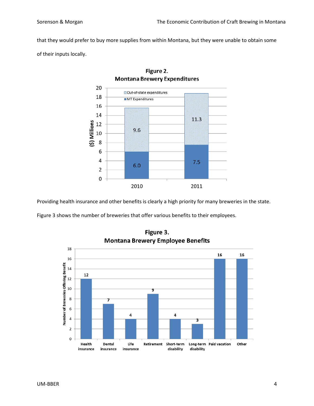that they would prefer to buy more supplies from within Montana, but they were unable to obtain some

of their inputs locally.



Figure 2. **Montana Brewery Expenditures** 

Providing health insurance and other benefits is clearly a high priority for many breweries in the state.

Figure 3 shows the number of breweries that offer various benefits to their employees.



Figure 3. **Montana Brewery Employee Benefits**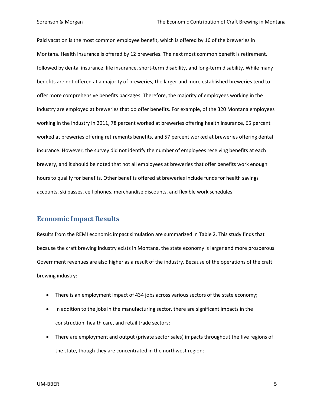Paid vacation is the most common employee benefit, which is offered by 16 of the breweries in Montana. Health insurance is offered by 12 breweries. The next most common benefit is retirement, followed by dental insurance, life insurance, short-term disability, and long-term disability. While many benefits are not offered at a majority of breweries, the larger and more established breweries tend to offer more comprehensive benefits packages. Therefore, the majority of employees working in the industry are employed at breweries that do offer benefits. For example, of the 320 Montana employees working in the industry in 2011, 78 percent worked at breweries offering health insurance, 65 percent worked at breweries offering retirements benefits, and 57 percent worked at breweries offering dental insurance. However, the survey did not identify the number of employees receiving benefits at each brewery, and it should be noted that not all employees at breweries that offer benefits work enough hours to qualify for benefits. Other benefits offered at breweries include funds for health savings accounts, ski passes, cell phones, merchandise discounts, and flexible work schedules.

### **Economic Impact Results**

Results from the REMI economic impact simulation are summarized in Table 2. This study finds that because the craft brewing industry exists in Montana, the state economy is larger and more prosperous. Government revenues are also higher as a result of the industry. Because of the operations of the craft brewing industry:

- There is an employment impact of 434 jobs across various sectors of the state economy;
- In addition to the jobs in the manufacturing sector, there are significant impacts in the construction, health care, and retail trade sectors;
- There are employment and output (private sector sales) impacts throughout the five regions of the state, though they are concentrated in the northwest region;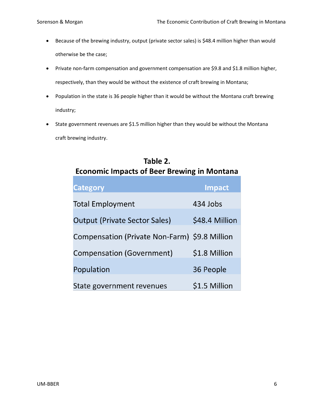- Because of the brewing industry, output (private sector sales) is \$48.4 million higher than would otherwise be the case;
- Private non-farm compensation and government compensation are \$9.8 and \$1.8 million higher, respectively, than they would be without the existence of craft brewing in Montana;
- Population in the state is 36 people higher than it would be without the Montana craft brewing industry;
- State government revenues are \$1.5 million higher than they would be without the Montana craft brewing industry.

| <b>Economic Impacts of Beer Brewing in Montana</b> |                |  |  |  |
|----------------------------------------------------|----------------|--|--|--|
| <b>Category</b>                                    | <b>Impact</b>  |  |  |  |
| <b>Total Employment</b>                            | 434 Jobs       |  |  |  |
| <b>Output (Private Sector Sales)</b>               | \$48.4 Million |  |  |  |
| Compensation (Private Non-Farm) \$9.8 Million      |                |  |  |  |
| Compensation (Government)                          | \$1.8 Million  |  |  |  |
| Population                                         | 36 People      |  |  |  |
| State government revenues                          | \$1.5 Million  |  |  |  |

## Table 2.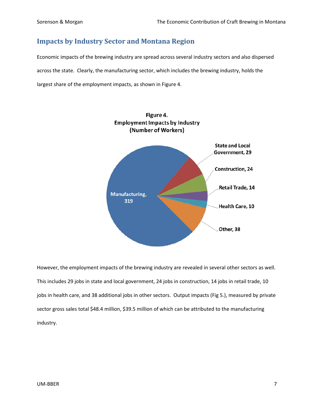### **Impacts by Industry Sector and Montana Region**

Economic impacts of the brewing industry are spread across several industry sectors and also dispersed across the state. Clearly, the manufacturing sector, which includes the brewing industry, holds the largest share of the employment impacts, as shown in Figure 4.



However, the employment impacts of the brewing industry are revealed in several other sectors as well. This includes 29 jobs in state and local government, 24 jobs in construction, 14 jobs in retail trade, 10 jobs in health care, and 38 additional jobs in other sectors. Output impacts (Fig 5.), measured by private sector gross sales total \$48.4 million, \$39.5 million of which can be attributed to the manufacturing industry.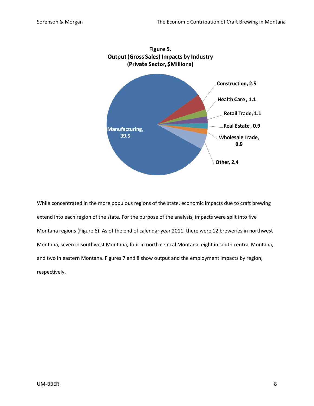

While concentrated in the more populous regions of the state, economic impacts due to craft brewing extend into each region of the state. For the purpose of the analysis, impacts were split into five Montana regions (Figure 6). As of the end of calendar year 2011, there were 12 breweries in northwest Montana, seven in southwest Montana, four in north central Montana, eight in south central Montana, and two in eastern Montana. Figures 7 and 8 show output and the employment impacts by region, respectively.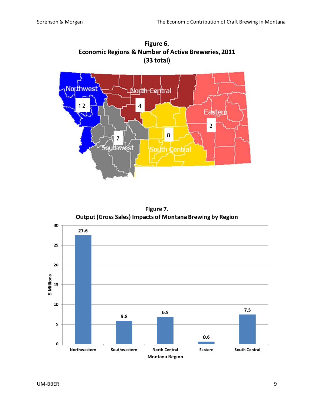

Figure 6. **Economic Regions & Number of Active Breweries, 2011**  $(33$  total)

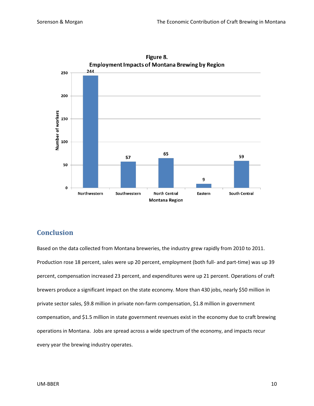

Figure 8.

### **Conclusion**

Based on the data collected from Montana breweries, the industry grew rapidly from 2010 to 2011. Production rose 18 percent, sales were up 20 percent, employment (both full- and part-time) was up 39 percent, compensation increased 23 percent, and expenditures were up 21 percent. Operations of craft brewers produce a significant impact on the state economy. More than 430 jobs, nearly \$50 million in private sector sales, \$9.8 million in private non-farm compensation, \$1.8 million in government compensation, and \$1.5 million in state government revenues exist in the economy due to craft brewing operations in Montana. Jobs are spread across a wide spectrum of the economy, and impacts recur every year the brewing industry operates.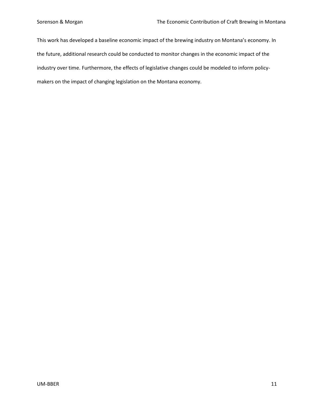This work has developed a baseline economic impact of the brewing industry on Montana's economy. In the future, additional research could be conducted to monitor changes in the economic impact of the industry over time. Furthermore, the effects of legislative changes could be modeled to inform policymakers on the impact of changing legislation on the Montana economy.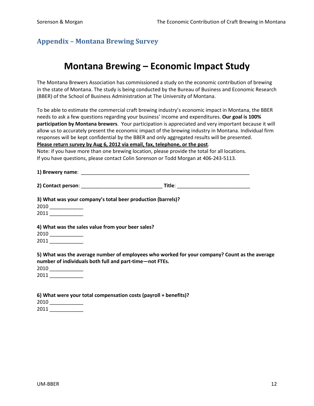### **Appendix – Montana Brewing Survey**

### **Montana Brewing – Economic Impact Study**

The Montana Brewers Association has commissioned a study on the economic contribution of brewing in the state of Montana. The study is being conducted by the Bureau of Business and Economic Research (BBER) of the School of Business Administration at The University of Montana.

To be able to estimate the commercial craft brewing industry's economic impact in Montana, the BBER needs to ask a few questions regarding your business' income and expenditures. **Our goal is 100% participation by Montana brewers**. Your participation is appreciated and very important because it will allow us to accurately present the economic impact of the brewing industry in Montana. Individual firm responses will be kept confidential by the BBER and only aggregated results will be presented. **Please return survey by Aug 6, 2012 via email, fax, telephone, or the post**.

Note: if you have more than one brewing location, please provide the total for all locations. If you have questions, please contact Colin Sorenson or Todd Morgan at 406-243-5113.

**1) Brewery name**: \_\_\_\_\_\_\_\_\_\_\_\_\_\_\_\_\_\_\_\_\_\_\_\_\_\_\_\_\_\_\_\_\_\_\_\_\_\_\_\_\_\_\_\_\_\_\_\_\_\_\_\_\_\_\_\_\_\_\_\_

**2) Contact person**: \_\_\_\_\_\_\_\_\_\_\_\_\_\_\_\_\_\_\_\_\_\_\_\_\_\_\_\_\_ **Title**: \_\_\_\_\_\_\_\_\_\_\_\_\_\_\_\_\_\_\_\_\_\_\_\_\_\_

| 3) What was your company's total beer production (barrels)? |
|-------------------------------------------------------------|
| 2010                                                        |
| 2011                                                        |

**4) What was the sales value from your beer sales?** 2010 \_\_\_\_\_\_\_\_\_\_\_\_ 2011 \_\_\_\_\_\_\_\_\_\_\_\_

**5) What was the average number of employees who worked for your company? Count as the average number of individuals both full and part-time—not FTEs.**

2010 \_\_\_\_\_\_\_\_\_\_\_\_ 2011 \_\_\_\_\_\_\_\_\_\_\_\_

**6) What were your total compensation costs (payroll + benefits)?** 2010 \_\_\_\_\_\_\_\_\_\_\_\_ 2011 \_\_\_\_\_\_\_\_\_\_\_\_